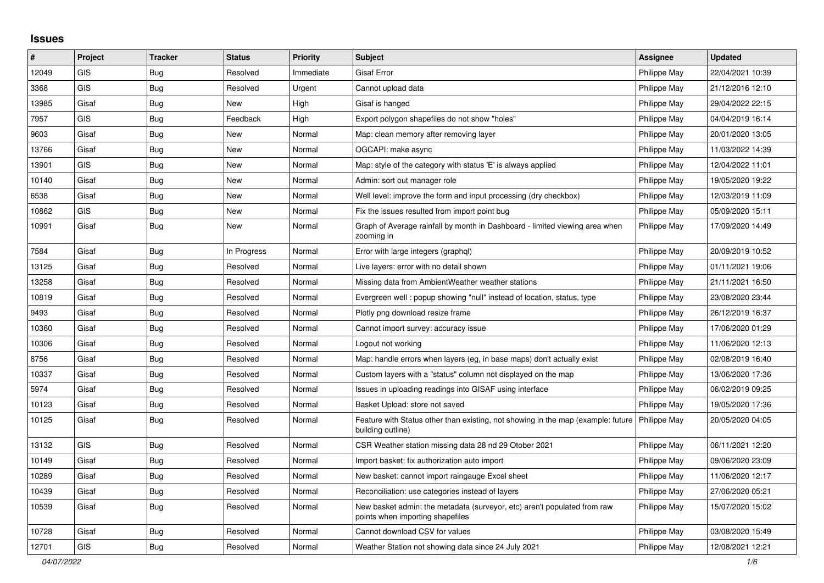## **Issues**

| $\#$  | Project    | <b>Tracker</b> | <b>Status</b> | <b>Priority</b> | <b>Subject</b>                                                                                                       | <b>Assignee</b> | <b>Updated</b>   |
|-------|------------|----------------|---------------|-----------------|----------------------------------------------------------------------------------------------------------------------|-----------------|------------------|
| 12049 | <b>GIS</b> | Bug            | Resolved      | Immediate       | <b>Gisaf Error</b>                                                                                                   | Philippe May    | 22/04/2021 10:39 |
| 3368  | <b>GIS</b> | Bug            | Resolved      | Urgent          | Cannot upload data                                                                                                   | Philippe May    | 21/12/2016 12:10 |
| 13985 | Gisaf      | Bug            | <b>New</b>    | High            | Gisaf is hanged                                                                                                      | Philippe May    | 29/04/2022 22:15 |
| 7957  | <b>GIS</b> | Bug            | Feedback      | High            | Export polygon shapefiles do not show "holes"                                                                        | Philippe May    | 04/04/2019 16:14 |
| 9603  | Gisaf      | Bug            | <b>New</b>    | Normal          | Map: clean memory after removing layer                                                                               | Philippe May    | 20/01/2020 13:05 |
| 13766 | Gisaf      | <b>Bug</b>     | <b>New</b>    | Normal          | OGCAPI: make async                                                                                                   | Philippe May    | 11/03/2022 14:39 |
| 13901 | <b>GIS</b> | <b>Bug</b>     | <b>New</b>    | Normal          | Map: style of the category with status 'E' is always applied                                                         | Philippe May    | 12/04/2022 11:01 |
| 10140 | Gisaf      | <b>Bug</b>     | <b>New</b>    | Normal          | Admin: sort out manager role                                                                                         | Philippe May    | 19/05/2020 19:22 |
| 6538  | Gisaf      | Bug            | <b>New</b>    | Normal          | Well level: improve the form and input processing (dry checkbox)                                                     | Philippe May    | 12/03/2019 11:09 |
| 10862 | GIS        | Bug            | <b>New</b>    | Normal          | Fix the issues resulted from import point bug                                                                        | Philippe May    | 05/09/2020 15:11 |
| 10991 | Gisaf      | Bug            | New           | Normal          | Graph of Average rainfall by month in Dashboard - limited viewing area when<br>zooming in                            | Philippe May    | 17/09/2020 14:49 |
| 7584  | Gisaf      | Bug            | In Progress   | Normal          | Error with large integers (graphgl)                                                                                  | Philippe May    | 20/09/2019 10:52 |
| 13125 | Gisaf      | Bug            | Resolved      | Normal          | Live layers: error with no detail shown                                                                              | Philippe May    | 01/11/2021 19:06 |
| 13258 | Gisaf      | Bug            | Resolved      | Normal          | Missing data from Ambient Weather weather stations                                                                   | Philippe May    | 21/11/2021 16:50 |
| 10819 | Gisaf      | Bug            | Resolved      | Normal          | Evergreen well: popup showing "null" instead of location, status, type                                               | Philippe May    | 23/08/2020 23:44 |
| 9493  | Gisaf      | <b>Bug</b>     | Resolved      | Normal          | Plotly png download resize frame                                                                                     | Philippe May    | 26/12/2019 16:37 |
| 10360 | Gisaf      | Bug            | Resolved      | Normal          | Cannot import survey: accuracy issue                                                                                 | Philippe May    | 17/06/2020 01:29 |
| 10306 | Gisaf      | Bug            | Resolved      | Normal          | Logout not working                                                                                                   | Philippe May    | 11/06/2020 12:13 |
| 8756  | Gisaf      | <b>Bug</b>     | Resolved      | Normal          | Map: handle errors when layers (eg, in base maps) don't actually exist                                               | Philippe May    | 02/08/2019 16:40 |
| 10337 | Gisaf      | Bug            | Resolved      | Normal          | Custom layers with a "status" column not displayed on the map                                                        | Philippe May    | 13/06/2020 17:36 |
| 5974  | Gisaf      | Bug            | Resolved      | Normal          | Issues in uploading readings into GISAF using interface                                                              | Philippe May    | 06/02/2019 09:25 |
| 10123 | Gisaf      | <b>Bug</b>     | Resolved      | Normal          | Basket Upload: store not saved                                                                                       | Philippe May    | 19/05/2020 17:36 |
| 10125 | Gisaf      | Bug            | Resolved      | Normal          | Feature with Status other than existing, not showing in the map (example: future   Philippe May<br>building outline) |                 | 20/05/2020 04:05 |
| 13132 | <b>GIS</b> | <b>Bug</b>     | Resolved      | Normal          | CSR Weather station missing data 28 nd 29 Otober 2021                                                                | Philippe May    | 06/11/2021 12:20 |
| 10149 | Gisaf      | Bug            | Resolved      | Normal          | Import basket: fix authorization auto import                                                                         | Philippe May    | 09/06/2020 23:09 |
| 10289 | Gisaf      | <b>Bug</b>     | Resolved      | Normal          | New basket: cannot import raingauge Excel sheet                                                                      | Philippe May    | 11/06/2020 12:17 |
| 10439 | Gisaf      | <b>Bug</b>     | Resolved      | Normal          | Reconciliation: use categories instead of layers                                                                     | Philippe May    | 27/06/2020 05:21 |
| 10539 | Gisaf      | Bug            | Resolved      | Normal          | New basket admin: the metadata (surveyor, etc) aren't populated from raw<br>points when importing shapefiles         | Philippe May    | 15/07/2020 15:02 |
| 10728 | Gisaf      | Bug            | Resolved      | Normal          | Cannot download CSV for values                                                                                       | Philippe May    | 03/08/2020 15:49 |
| 12701 | GIS        | Bug            | Resolved      | Normal          | Weather Station not showing data since 24 July 2021                                                                  | Philippe May    | 12/08/2021 12:21 |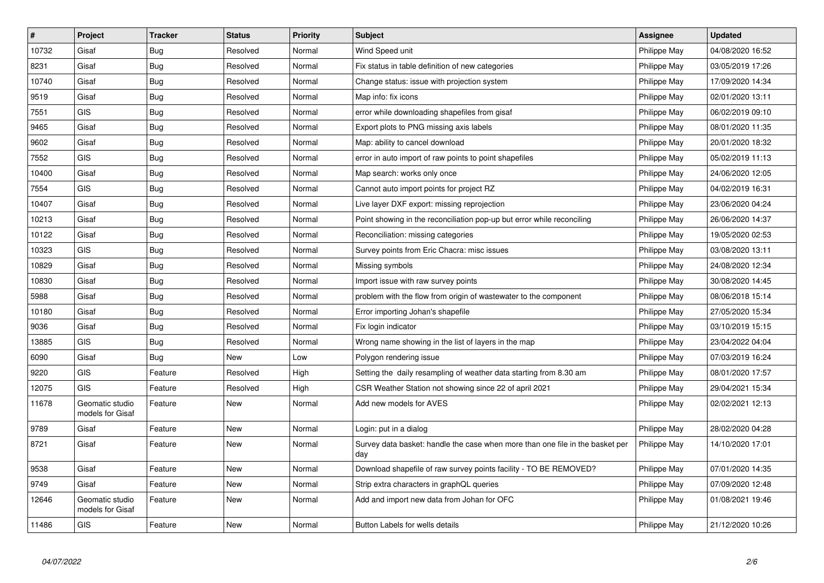| $\vert$ # | Project                             | <b>Tracker</b> | <b>Status</b> | <b>Priority</b> | <b>Subject</b>                                                                       | Assignee     | <b>Updated</b>   |
|-----------|-------------------------------------|----------------|---------------|-----------------|--------------------------------------------------------------------------------------|--------------|------------------|
| 10732     | Gisaf                               | <b>Bug</b>     | Resolved      | Normal          | Wind Speed unit                                                                      | Philippe May | 04/08/2020 16:52 |
| 8231      | Gisaf                               | <b>Bug</b>     | Resolved      | Normal          | Fix status in table definition of new categories                                     | Philippe May | 03/05/2019 17:26 |
| 10740     | Gisaf                               | Bug            | Resolved      | Normal          | Change status: issue with projection system                                          | Philippe May | 17/09/2020 14:34 |
| 9519      | Gisaf                               | <b>Bug</b>     | Resolved      | Normal          | Map info: fix icons                                                                  | Philippe May | 02/01/2020 13:11 |
| 7551      | <b>GIS</b>                          | <b>Bug</b>     | Resolved      | Normal          | error while downloading shapefiles from gisaf                                        | Philippe May | 06/02/2019 09:10 |
| 9465      | Gisaf                               | <b>Bug</b>     | Resolved      | Normal          | Export plots to PNG missing axis labels                                              | Philippe May | 08/01/2020 11:35 |
| 9602      | Gisaf                               | Bug            | Resolved      | Normal          | Map: ability to cancel download                                                      | Philippe May | 20/01/2020 18:32 |
| 7552      | <b>GIS</b>                          | <b>Bug</b>     | Resolved      | Normal          | error in auto import of raw points to point shapefiles                               | Philippe May | 05/02/2019 11:13 |
| 10400     | Gisaf                               | Bug            | Resolved      | Normal          | Map search: works only once                                                          | Philippe May | 24/06/2020 12:05 |
| 7554      | GIS                                 | <b>Bug</b>     | Resolved      | Normal          | Cannot auto import points for project RZ                                             | Philippe May | 04/02/2019 16:31 |
| 10407     | Gisaf                               | Bug            | Resolved      | Normal          | Live layer DXF export: missing reprojection                                          | Philippe May | 23/06/2020 04:24 |
| 10213     | Gisaf                               | <b>Bug</b>     | Resolved      | Normal          | Point showing in the reconciliation pop-up but error while reconciling               | Philippe May | 26/06/2020 14:37 |
| 10122     | Gisaf                               | Bug            | Resolved      | Normal          | Reconciliation: missing categories                                                   | Philippe May | 19/05/2020 02:53 |
| 10323     | GIS                                 | <b>Bug</b>     | Resolved      | Normal          | Survey points from Eric Chacra: misc issues                                          | Philippe May | 03/08/2020 13:11 |
| 10829     | Gisaf                               | <b>Bug</b>     | Resolved      | Normal          | Missing symbols                                                                      | Philippe May | 24/08/2020 12:34 |
| 10830     | Gisaf                               | <b>Bug</b>     | Resolved      | Normal          | Import issue with raw survey points                                                  | Philippe May | 30/08/2020 14:45 |
| 5988      | Gisaf                               | <b>Bug</b>     | Resolved      | Normal          | problem with the flow from origin of wastewater to the component                     | Philippe May | 08/06/2018 15:14 |
| 10180     | Gisaf                               | Bug            | Resolved      | Normal          | Error importing Johan's shapefile                                                    | Philippe May | 27/05/2020 15:34 |
| 9036      | Gisaf                               | <b>Bug</b>     | Resolved      | Normal          | Fix login indicator                                                                  | Philippe May | 03/10/2019 15:15 |
| 13885     | <b>GIS</b>                          | Bug            | Resolved      | Normal          | Wrong name showing in the list of layers in the map                                  | Philippe May | 23/04/2022 04:04 |
| 6090      | Gisaf                               | <b>Bug</b>     | <b>New</b>    | Low             | Polygon rendering issue                                                              | Philippe May | 07/03/2019 16:24 |
| 9220      | GIS                                 | Feature        | Resolved      | High            | Setting the daily resampling of weather data starting from 8.30 am                   | Philippe May | 08/01/2020 17:57 |
| 12075     | <b>GIS</b>                          | Feature        | Resolved      | High            | CSR Weather Station not showing since 22 of april 2021                               | Philippe May | 29/04/2021 15:34 |
| 11678     | Geomatic studio<br>models for Gisaf | Feature        | <b>New</b>    | Normal          | Add new models for AVES                                                              | Philippe May | 02/02/2021 12:13 |
| 9789      | Gisaf                               | Feature        | New           | Normal          | Login: put in a dialog                                                               | Philippe May | 28/02/2020 04:28 |
| 8721      | Gisaf                               | Feature        | <b>New</b>    | Normal          | Survey data basket: handle the case when more than one file in the basket per<br>day | Philippe May | 14/10/2020 17:01 |
| 9538      | Gisaf                               | Feature        | <b>New</b>    | Normal          | Download shapefile of raw survey points facility - TO BE REMOVED?                    | Philippe May | 07/01/2020 14:35 |
| 9749      | Gisaf                               | Feature        | <b>New</b>    | Normal          | Strip extra characters in graphQL queries                                            | Philippe May | 07/09/2020 12:48 |
| 12646     | Geomatic studio<br>models for Gisaf | Feature        | <b>New</b>    | Normal          | Add and import new data from Johan for OFC                                           | Philippe May | 01/08/2021 19:46 |
| 11486     | GIS                                 | Feature        | New           | Normal          | Button Labels for wells details                                                      | Philippe May | 21/12/2020 10:26 |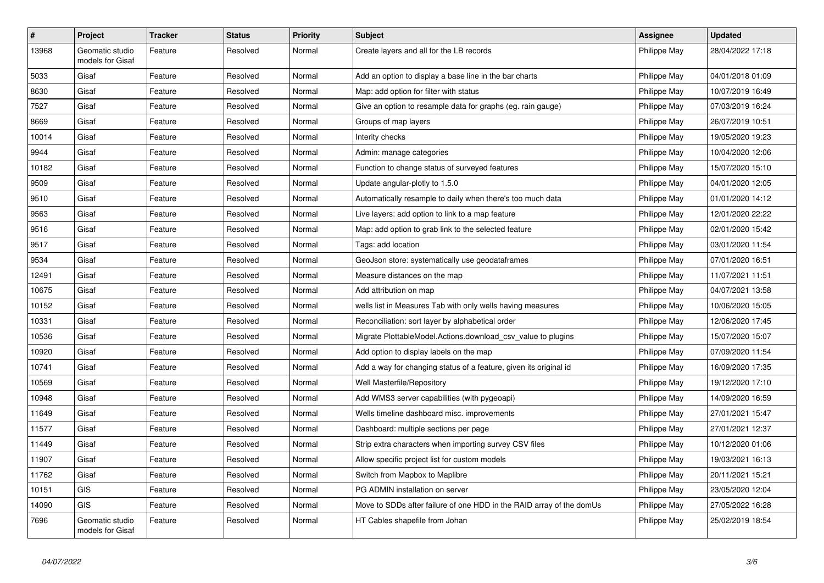| $\vert$ # | <b>Project</b>                      | <b>Tracker</b> | <b>Status</b> | <b>Priority</b> | <b>Subject</b>                                                       | <b>Assignee</b> | <b>Updated</b>   |
|-----------|-------------------------------------|----------------|---------------|-----------------|----------------------------------------------------------------------|-----------------|------------------|
| 13968     | Geomatic studio<br>models for Gisaf | Feature        | Resolved      | Normal          | Create layers and all for the LB records                             | Philippe May    | 28/04/2022 17:18 |
| 5033      | Gisaf                               | Feature        | Resolved      | Normal          | Add an option to display a base line in the bar charts               | Philippe May    | 04/01/2018 01:09 |
| 8630      | Gisaf                               | Feature        | Resolved      | Normal          | Map: add option for filter with status                               | Philippe May    | 10/07/2019 16:49 |
| 7527      | Gisaf                               | Feature        | Resolved      | Normal          | Give an option to resample data for graphs (eg. rain gauge)          | Philippe May    | 07/03/2019 16:24 |
| 8669      | Gisaf                               | Feature        | Resolved      | Normal          | Groups of map layers                                                 | Philippe May    | 26/07/2019 10:51 |
| 10014     | Gisaf                               | Feature        | Resolved      | Normal          | Interity checks                                                      | Philippe May    | 19/05/2020 19:23 |
| 9944      | Gisaf                               | Feature        | Resolved      | Normal          | Admin: manage categories                                             | Philippe May    | 10/04/2020 12:06 |
| 10182     | Gisaf                               | Feature        | Resolved      | Normal          | Function to change status of surveyed features                       | Philippe May    | 15/07/2020 15:10 |
| 9509      | Gisaf                               | Feature        | Resolved      | Normal          | Update angular-plotly to 1.5.0                                       | Philippe May    | 04/01/2020 12:05 |
| 9510      | Gisaf                               | Feature        | Resolved      | Normal          | Automatically resample to daily when there's too much data           | Philippe May    | 01/01/2020 14:12 |
| 9563      | Gisaf                               | Feature        | Resolved      | Normal          | Live layers: add option to link to a map feature                     | Philippe May    | 12/01/2020 22:22 |
| 9516      | Gisaf                               | Feature        | Resolved      | Normal          | Map: add option to grab link to the selected feature                 | Philippe May    | 02/01/2020 15:42 |
| 9517      | Gisaf                               | Feature        | Resolved      | Normal          | Tags: add location                                                   | Philippe May    | 03/01/2020 11:54 |
| 9534      | Gisaf                               | Feature        | Resolved      | Normal          | GeoJson store: systematically use geodataframes                      | Philippe May    | 07/01/2020 16:51 |
| 12491     | Gisaf                               | Feature        | Resolved      | Normal          | Measure distances on the map                                         | Philippe May    | 11/07/2021 11:51 |
| 10675     | Gisaf                               | Feature        | Resolved      | Normal          | Add attribution on map                                               | Philippe May    | 04/07/2021 13:58 |
| 10152     | Gisaf                               | Feature        | Resolved      | Normal          | wells list in Measures Tab with only wells having measures           | Philippe May    | 10/06/2020 15:05 |
| 10331     | Gisaf                               | Feature        | Resolved      | Normal          | Reconciliation: sort layer by alphabetical order                     | Philippe May    | 12/06/2020 17:45 |
| 10536     | Gisaf                               | Feature        | Resolved      | Normal          | Migrate PlottableModel.Actions.download csv value to plugins         | Philippe May    | 15/07/2020 15:07 |
| 10920     | Gisaf                               | Feature        | Resolved      | Normal          | Add option to display labels on the map                              | Philippe May    | 07/09/2020 11:54 |
| 10741     | Gisaf                               | Feature        | Resolved      | Normal          | Add a way for changing status of a feature, given its original id    | Philippe May    | 16/09/2020 17:35 |
| 10569     | Gisaf                               | Feature        | Resolved      | Normal          | Well Masterfile/Repository                                           | Philippe May    | 19/12/2020 17:10 |
| 10948     | Gisaf                               | Feature        | Resolved      | Normal          | Add WMS3 server capabilities (with pygeoapi)                         | Philippe May    | 14/09/2020 16:59 |
| 11649     | Gisaf                               | Feature        | Resolved      | Normal          | Wells timeline dashboard misc. improvements                          | Philippe May    | 27/01/2021 15:47 |
| 11577     | Gisaf                               | Feature        | Resolved      | Normal          | Dashboard: multiple sections per page                                | Philippe May    | 27/01/2021 12:37 |
| 11449     | Gisaf                               | Feature        | Resolved      | Normal          | Strip extra characters when importing survey CSV files               | Philippe May    | 10/12/2020 01:06 |
| 11907     | Gisaf                               | Feature        | Resolved      | Normal          | Allow specific project list for custom models                        | Philippe May    | 19/03/2021 16:13 |
| 11762     | Gisaf                               | Feature        | Resolved      | Normal          | Switch from Mapbox to Maplibre                                       | Philippe May    | 20/11/2021 15:21 |
| 10151     | <b>GIS</b>                          | Feature        | Resolved      | Normal          | PG ADMIN installation on server                                      | Philippe May    | 23/05/2020 12:04 |
| 14090     | GIS                                 | Feature        | Resolved      | Normal          | Move to SDDs after failure of one HDD in the RAID array of the domUs | Philippe May    | 27/05/2022 16:28 |
| 7696      | Geomatic studio<br>models for Gisaf | Feature        | Resolved      | Normal          | HT Cables shapefile from Johan                                       | Philippe May    | 25/02/2019 18:54 |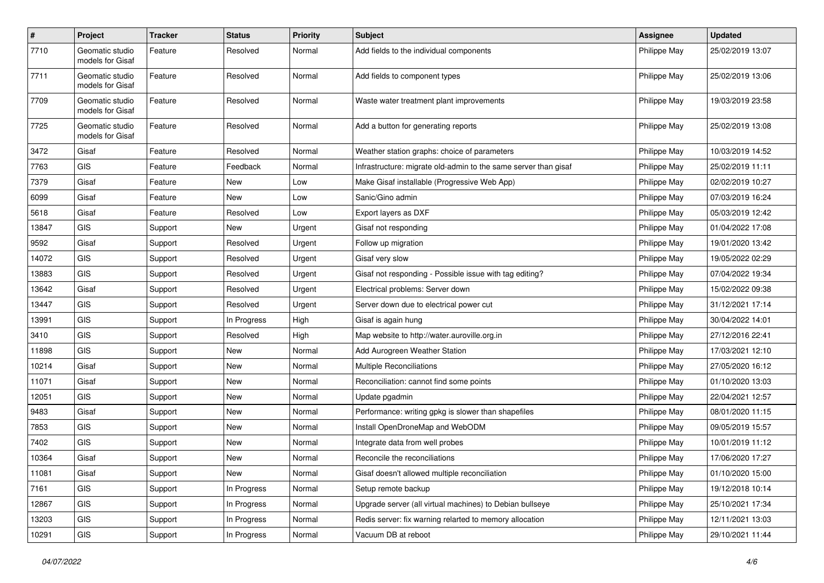| $\pmb{\#}$ | Project                             | <b>Tracker</b> | <b>Status</b> | <b>Priority</b> | <b>Subject</b>                                                  | <b>Assignee</b> | <b>Updated</b>   |
|------------|-------------------------------------|----------------|---------------|-----------------|-----------------------------------------------------------------|-----------------|------------------|
| 7710       | Geomatic studio<br>models for Gisaf | Feature        | Resolved      | Normal          | Add fields to the individual components                         | Philippe May    | 25/02/2019 13:07 |
| 7711       | Geomatic studio<br>models for Gisaf | Feature        | Resolved      | Normal          | Add fields to component types                                   | Philippe May    | 25/02/2019 13:06 |
| 7709       | Geomatic studio<br>models for Gisaf | Feature        | Resolved      | Normal          | Waste water treatment plant improvements                        | Philippe May    | 19/03/2019 23:58 |
| 7725       | Geomatic studio<br>models for Gisaf | Feature        | Resolved      | Normal          | Add a button for generating reports                             | Philippe May    | 25/02/2019 13:08 |
| 3472       | Gisaf                               | Feature        | Resolved      | Normal          | Weather station graphs: choice of parameters                    | Philippe May    | 10/03/2019 14:52 |
| 7763       | <b>GIS</b>                          | Feature        | Feedback      | Normal          | Infrastructure: migrate old-admin to the same server than gisaf | Philippe May    | 25/02/2019 11:11 |
| 7379       | Gisaf                               | Feature        | New           | Low             | Make Gisaf installable (Progressive Web App)                    | Philippe May    | 02/02/2019 10:27 |
| 6099       | Gisaf                               | Feature        | New           | Low             | Sanic/Gino admin                                                | Philippe May    | 07/03/2019 16:24 |
| 5618       | Gisaf                               | Feature        | Resolved      | Low             | Export layers as DXF                                            | Philippe May    | 05/03/2019 12:42 |
| 13847      | <b>GIS</b>                          | Support        | New           | Urgent          | Gisaf not responding                                            | Philippe May    | 01/04/2022 17:08 |
| 9592       | Gisaf                               | Support        | Resolved      | Urgent          | Follow up migration                                             | Philippe May    | 19/01/2020 13:42 |
| 14072      | <b>GIS</b>                          | Support        | Resolved      | Urgent          | Gisaf very slow                                                 | Philippe May    | 19/05/2022 02:29 |
| 13883      | <b>GIS</b>                          | Support        | Resolved      | Urgent          | Gisaf not responding - Possible issue with tag editing?         | Philippe May    | 07/04/2022 19:34 |
| 13642      | Gisaf                               | Support        | Resolved      | Urgent          | Electrical problems: Server down                                | Philippe May    | 15/02/2022 09:38 |
| 13447      | <b>GIS</b>                          | Support        | Resolved      | Urgent          | Server down due to electrical power cut                         | Philippe May    | 31/12/2021 17:14 |
| 13991      | <b>GIS</b>                          | Support        | In Progress   | High            | Gisaf is again hung                                             | Philippe May    | 30/04/2022 14:01 |
| 3410       | <b>GIS</b>                          | Support        | Resolved      | High            | Map website to http://water.auroville.org.in                    | Philippe May    | 27/12/2016 22:41 |
| 11898      | <b>GIS</b>                          | Support        | New           | Normal          | Add Aurogreen Weather Station                                   | Philippe May    | 17/03/2021 12:10 |
| 10214      | Gisaf                               | Support        | <b>New</b>    | Normal          | Multiple Reconciliations                                        | Philippe May    | 27/05/2020 16:12 |
| 11071      | Gisaf                               | Support        | New           | Normal          | Reconciliation: cannot find some points                         | Philippe May    | 01/10/2020 13:03 |
| 12051      | <b>GIS</b>                          | Support        | New           | Normal          | Update pgadmin                                                  | Philippe May    | 22/04/2021 12:57 |
| 9483       | Gisaf                               | Support        | New           | Normal          | Performance: writing gpkg is slower than shapefiles             | Philippe May    | 08/01/2020 11:15 |
| 7853       | <b>GIS</b>                          | Support        | New           | Normal          | Install OpenDroneMap and WebODM                                 | Philippe May    | 09/05/2019 15:57 |
| 7402       | <b>GIS</b>                          | Support        | New           | Normal          | Integrate data from well probes                                 | Philippe May    | 10/01/2019 11:12 |
| 10364      | Gisaf                               | Support        | New           | Normal          | Reconcile the reconciliations                                   | Philippe May    | 17/06/2020 17:27 |
| 11081      | Gisaf                               | Support        | New           | Normal          | Gisaf doesn't allowed multiple reconciliation                   | Philippe May    | 01/10/2020 15:00 |
| 7161       | GIS                                 | Support        | In Progress   | Normal          | Setup remote backup                                             | Philippe May    | 19/12/2018 10:14 |
| 12867      | GIS                                 | Support        | In Progress   | Normal          | Upgrade server (all virtual machines) to Debian bullseye        | Philippe May    | 25/10/2021 17:34 |
| 13203      | GIS                                 | Support        | In Progress   | Normal          | Redis server: fix warning relarted to memory allocation         | Philippe May    | 12/11/2021 13:03 |
| 10291      | GIS                                 | Support        | In Progress   | Normal          | Vacuum DB at reboot                                             | Philippe May    | 29/10/2021 11:44 |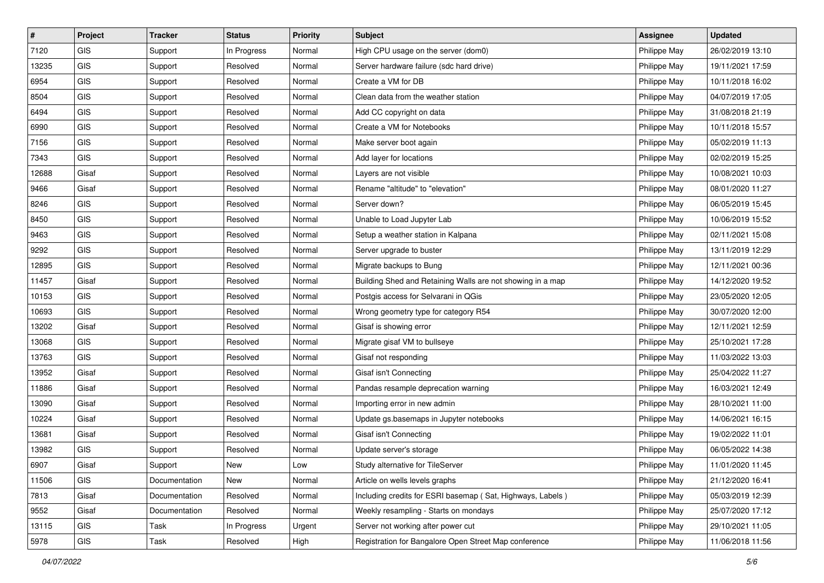| $\vert$ # | Project    | <b>Tracker</b> | <b>Status</b> | <b>Priority</b> | <b>Subject</b>                                             | <b>Assignee</b> | <b>Updated</b>   |
|-----------|------------|----------------|---------------|-----------------|------------------------------------------------------------|-----------------|------------------|
| 7120      | <b>GIS</b> | Support        | In Progress   | Normal          | High CPU usage on the server (dom0)                        | Philippe May    | 26/02/2019 13:10 |
| 13235     | GIS        | Support        | Resolved      | Normal          | Server hardware failure (sdc hard drive)                   | Philippe May    | 19/11/2021 17:59 |
| 6954      | GIS        | Support        | Resolved      | Normal          | Create a VM for DB                                         | Philippe May    | 10/11/2018 16:02 |
| 8504      | GIS        | Support        | Resolved      | Normal          | Clean data from the weather station                        | Philippe May    | 04/07/2019 17:05 |
| 6494      | GIS        | Support        | Resolved      | Normal          | Add CC copyright on data                                   | Philippe May    | 31/08/2018 21:19 |
| 6990      | GIS        | Support        | Resolved      | Normal          | Create a VM for Notebooks                                  | Philippe May    | 10/11/2018 15:57 |
| 7156      | GIS        | Support        | Resolved      | Normal          | Make server boot again                                     | Philippe May    | 05/02/2019 11:13 |
| 7343      | GIS        | Support        | Resolved      | Normal          | Add layer for locations                                    | Philippe May    | 02/02/2019 15:25 |
| 12688     | Gisaf      | Support        | Resolved      | Normal          | Layers are not visible                                     | Philippe May    | 10/08/2021 10:03 |
| 9466      | Gisaf      | Support        | Resolved      | Normal          | Rename "altitude" to "elevation"                           | Philippe May    | 08/01/2020 11:27 |
| 8246      | GIS        | Support        | Resolved      | Normal          | Server down?                                               | Philippe May    | 06/05/2019 15:45 |
| 8450      | GIS        | Support        | Resolved      | Normal          | Unable to Load Jupyter Lab                                 | Philippe May    | 10/06/2019 15:52 |
| 9463      | GIS        | Support        | Resolved      | Normal          | Setup a weather station in Kalpana                         | Philippe May    | 02/11/2021 15:08 |
| 9292      | GIS        | Support        | Resolved      | Normal          | Server upgrade to buster                                   | Philippe May    | 13/11/2019 12:29 |
| 12895     | GIS        | Support        | Resolved      | Normal          | Migrate backups to Bung                                    | Philippe May    | 12/11/2021 00:36 |
| 11457     | Gisaf      | Support        | Resolved      | Normal          | Building Shed and Retaining Walls are not showing in a map | Philippe May    | 14/12/2020 19:52 |
| 10153     | GIS        | Support        | Resolved      | Normal          | Postgis access for Selvarani in QGis                       | Philippe May    | 23/05/2020 12:05 |
| 10693     | GIS        | Support        | Resolved      | Normal          | Wrong geometry type for category R54                       | Philippe May    | 30/07/2020 12:00 |
| 13202     | Gisaf      | Support        | Resolved      | Normal          | Gisaf is showing error                                     | Philippe May    | 12/11/2021 12:59 |
| 13068     | GIS        | Support        | Resolved      | Normal          | Migrate gisaf VM to bullseye                               | Philippe May    | 25/10/2021 17:28 |
| 13763     | <b>GIS</b> | Support        | Resolved      | Normal          | Gisaf not responding                                       | Philippe May    | 11/03/2022 13:03 |
| 13952     | Gisaf      | Support        | Resolved      | Normal          | Gisaf isn't Connecting                                     | Philippe May    | 25/04/2022 11:27 |
| 11886     | Gisaf      | Support        | Resolved      | Normal          | Pandas resample deprecation warning                        | Philippe May    | 16/03/2021 12:49 |
| 13090     | Gisaf      | Support        | Resolved      | Normal          | Importing error in new admin                               | Philippe May    | 28/10/2021 11:00 |
| 10224     | Gisaf      | Support        | Resolved      | Normal          | Update gs.basemaps in Jupyter notebooks                    | Philippe May    | 14/06/2021 16:15 |
| 13681     | Gisaf      | Support        | Resolved      | Normal          | Gisaf isn't Connecting                                     | Philippe May    | 19/02/2022 11:01 |
| 13982     | GIS        | Support        | Resolved      | Normal          | Update server's storage                                    | Philippe May    | 06/05/2022 14:38 |
| 6907      | Gisaf      | Support        | New           | Low             | Study alternative for TileServer                           | Philippe May    | 11/01/2020 11:45 |
| 11506     | <b>GIS</b> | Documentation  | New           | Normal          | Article on wells levels graphs                             | Philippe May    | 21/12/2020 16:41 |
| 7813      | Gisaf      | Documentation  | Resolved      | Normal          | Including credits for ESRI basemap (Sat, Highways, Labels) | Philippe May    | 05/03/2019 12:39 |
| 9552      | Gisaf      | Documentation  | Resolved      | Normal          | Weekly resampling - Starts on mondays                      | Philippe May    | 25/07/2020 17:12 |
| 13115     | GIS        | Task           | In Progress   | Urgent          | Server not working after power cut                         | Philippe May    | 29/10/2021 11:05 |
| 5978      | GIS        | Task           | Resolved      | High            | Registration for Bangalore Open Street Map conference      | Philippe May    | 11/06/2018 11:56 |